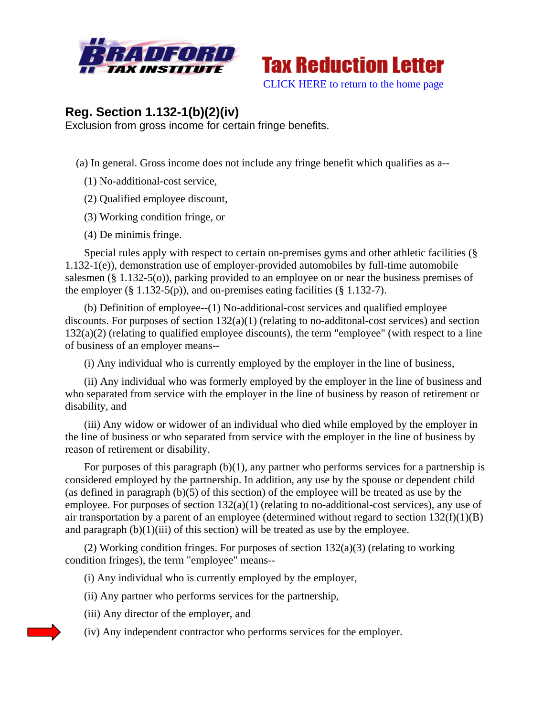



## **Reg. Section 1.132-1(b)(2)(iv)**

Exclusion from gross income for certain fringe benefits.

(a) In general. Gross income does not include any fringe benefit which qualifies as a--

(1) No-additional-cost service,

(2) Qualified employee discount,

(3) Working condition fringe, or

(4) De minimis fringe.

 Special rules apply with respect to certain on-premises gyms and other athletic facilities (§ 1.132-1(e)), demonstration use of employer-provided automobiles by full-time automobile salesmen (§ 1.132-5(o)), parking provided to an employee on or near the business premises of the employer  $(\S 1.132-5(p))$ , and on-premises eating facilities  $(\S 1.132-7)$ .

 (b) Definition of employee--(1) No-additional-cost services and qualified employee discounts. For purposes of section  $132(a)(1)$  (relating to no-additonal-cost services) and section  $132(a)(2)$  (relating to qualified employee discounts), the term "employee" (with respect to a line of business of an employer means--

(i) Any individual who is currently employed by the employer in the line of business,

 (ii) Any individual who was formerly employed by the employer in the line of business and who separated from service with the employer in the line of business by reason of retirement or disability, and

 (iii) Any widow or widower of an individual who died while employed by the employer in the line of business or who separated from service with the employer in the line of business by reason of retirement or disability.

For purposes of this paragraph  $(b)(1)$ , any partner who performs services for a partnership is considered employed by the partnership. In addition, any use by the spouse or dependent child (as defined in paragraph (b)(5) of this section) of the employee will be treated as use by the employee. For purposes of section 132(a)(1) (relating to no-additional-cost services), any use of air transportation by a parent of an employee (determined without regard to section 132(f)(1)(B) and paragraph  $(b)(1)(iii)$  of this section) will be treated as use by the employee.

 (2) Working condition fringes. For purposes of section 132(a)(3) (relating to working condition fringes), the term "employee" means--

(i) Any individual who is currently employed by the employer,

(ii) Any partner who performs services for the partnership,

(iii) Any director of the employer, and

(iv) Any independent contractor who performs services for the employer.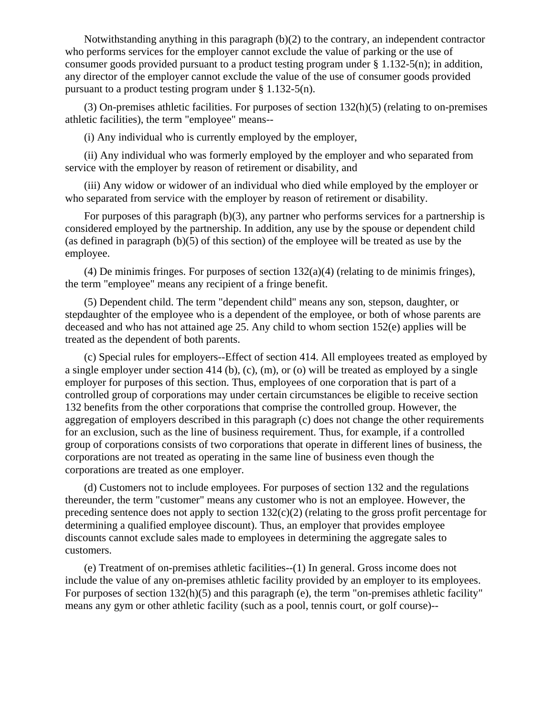Notwithstanding anything in this paragraph (b)(2) to the contrary, an independent contractor who performs services for the employer cannot exclude the value of parking or the use of consumer goods provided pursuant to a product testing program under § 1.132-5(n); in addition, any director of the employer cannot exclude the value of the use of consumer goods provided pursuant to a product testing program under § 1.132-5(n).

 (3) On-premises athletic facilities. For purposes of section 132(h)(5) (relating to on-premises athletic facilities), the term "employee" means--

(i) Any individual who is currently employed by the employer,

 (ii) Any individual who was formerly employed by the employer and who separated from service with the employer by reason of retirement or disability, and

 (iii) Any widow or widower of an individual who died while employed by the employer or who separated from service with the employer by reason of retirement or disability.

 For purposes of this paragraph (b)(3), any partner who performs services for a partnership is considered employed by the partnership. In addition, any use by the spouse or dependent child (as defined in paragraph  $(b)(5)$  of this section) of the employee will be treated as use by the employee.

 (4) De minimis fringes. For purposes of section 132(a)(4) (relating to de minimis fringes), the term "employee" means any recipient of a fringe benefit.

 (5) Dependent child. The term "dependent child" means any son, stepson, daughter, or stepdaughter of the employee who is a dependent of the employee, or both of whose parents are deceased and who has not attained age 25. Any child to whom section 152(e) applies will be treated as the dependent of both parents.

 (c) Special rules for employers--Effect of section 414. All employees treated as employed by a single employer under section 414 (b), (c), (m), or (o) will be treated as employed by a single employer for purposes of this section. Thus, employees of one corporation that is part of a controlled group of corporations may under certain circumstances be eligible to receive section 132 benefits from the other corporations that comprise the controlled group. However, the aggregation of employers described in this paragraph (c) does not change the other requirements for an exclusion, such as the line of business requirement. Thus, for example, if a controlled group of corporations consists of two corporations that operate in different lines of business, the corporations are not treated as operating in the same line of business even though the corporations are treated as one employer.

 (d) Customers not to include employees. For purposes of section 132 and the regulations thereunder, the term "customer" means any customer who is not an employee. However, the preceding sentence does not apply to section  $132(c)(2)$  (relating to the gross profit percentage for determining a qualified employee discount). Thus, an employer that provides employee discounts cannot exclude sales made to employees in determining the aggregate sales to customers.

 (e) Treatment of on-premises athletic facilities--(1) In general. Gross income does not include the value of any on-premises athletic facility provided by an employer to its employees. For purposes of section 132(h)(5) and this paragraph (e), the term "on-premises athletic facility" means any gym or other athletic facility (such as a pool, tennis court, or golf course)--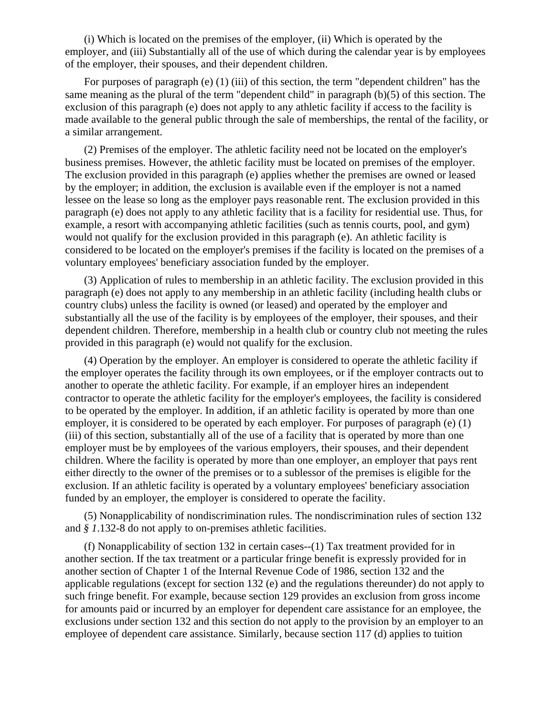(i) Which is located on the premises of the employer, (ii) Which is operated by the employer, and (iii) Substantially all of the use of which during the calendar year is by employees of the employer, their spouses, and their dependent children.

 For purposes of paragraph (e) (1) (iii) of this section, the term "dependent children" has the same meaning as the plural of the term "dependent child" in paragraph (b)(5) of this section. The exclusion of this paragraph (e) does not apply to any athletic facility if access to the facility is made available to the general public through the sale of memberships, the rental of the facility, or a similar arrangement.

 (2) Premises of the employer. The athletic facility need not be located on the employer's business premises. However, the athletic facility must be located on premises of the employer. The exclusion provided in this paragraph (e) applies whether the premises are owned or leased by the employer; in addition, the exclusion is available even if the employer is not a named lessee on the lease so long as the employer pays reasonable rent. The exclusion provided in this paragraph (e) does not apply to any athletic facility that is a facility for residential use. Thus, for example, a resort with accompanying athletic facilities (such as tennis courts, pool, and gym) would not qualify for the exclusion provided in this paragraph (e). An athletic facility is considered to be located on the employer's premises if the facility is located on the premises of a voluntary employees' beneficiary association funded by the employer.

 (3) Application of rules to membership in an athletic facility. The exclusion provided in this paragraph (e) does not apply to any membership in an athletic facility (including health clubs or country clubs) unless the facility is owned (or leased) and operated by the employer and substantially all the use of the facility is by employees of the employer, their spouses, and their dependent children. Therefore, membership in a health club or country club not meeting the rules provided in this paragraph (e) would not qualify for the exclusion.

 (4) Operation by the employer. An employer is considered to operate the athletic facility if the employer operates the facility through its own employees, or if the employer contracts out to another to operate the athletic facility. For example, if an employer hires an independent contractor to operate the athletic facility for the employer's employees, the facility is considered to be operated by the employer. In addition, if an athletic facility is operated by more than one employer, it is considered to be operated by each employer. For purposes of paragraph (e) (1) (iii) of this section, substantially all of the use of a facility that is operated by more than one employer must be by employees of the various employers, their spouses, and their dependent children. Where the facility is operated by more than one employer, an employer that pays rent either directly to the owner of the premises or to a sublessor of the premises is eligible for the exclusion. If an athletic facility is operated by a voluntary employees' beneficiary association funded by an employer, the employer is considered to operate the facility.

 (5) Nonapplicability of nondiscrimination rules. The nondiscrimination rules of section 132 and *§ 1*.132-8 do not apply to on-premises athletic facilities.

 (f) Nonapplicability of section 132 in certain cases--(1) Tax treatment provided for in another section. If the tax treatment or a particular fringe benefit is expressly provided for in another section of Chapter 1 of the Internal Revenue Code of 1986, section 132 and the applicable regulations (except for section 132 (e) and the regulations thereunder) do not apply to such fringe benefit. For example, because section 129 provides an exclusion from gross income for amounts paid or incurred by an employer for dependent care assistance for an employee, the exclusions under section 132 and this section do not apply to the provision by an employer to an employee of dependent care assistance. Similarly, because section 117 (d) applies to tuition